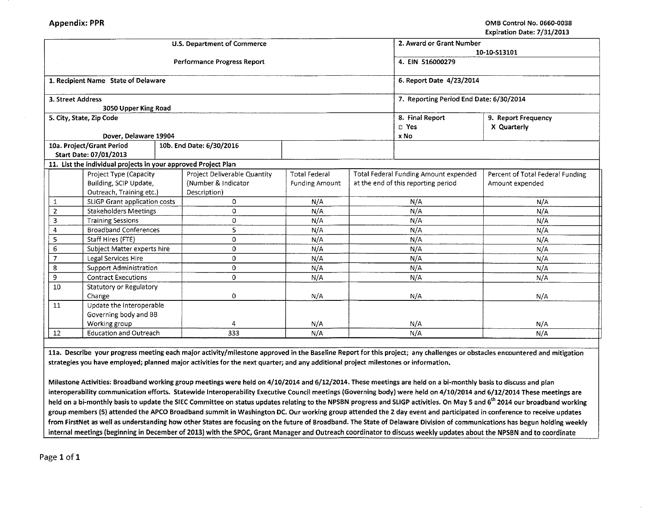|                                                    |                                                                |     | <b>U.S. Department of Commerce</b> |                       | 2. Award or Grant Number            |                                         |                                  |  |  |
|----------------------------------------------------|----------------------------------------------------------------|-----|------------------------------------|-----------------------|-------------------------------------|-----------------------------------------|----------------------------------|--|--|
|                                                    |                                                                |     |                                    | 10-10-S13101          |                                     |                                         |                                  |  |  |
|                                                    |                                                                |     | Performance Progress Report        | 4. EIN 516000279      |                                     |                                         |                                  |  |  |
|                                                    |                                                                |     |                                    |                       |                                     |                                         |                                  |  |  |
|                                                    | 1. Recipient Name State of Delaware                            |     |                                    |                       |                                     | 6. Report Date 4/23/2014                |                                  |  |  |
|                                                    | 3. Street Address                                              |     |                                    |                       |                                     |                                         |                                  |  |  |
|                                                    | 3050 Upper King Road                                           |     |                                    |                       |                                     | 7. Reporting Period End Date: 6/30/2014 |                                  |  |  |
|                                                    | 5. City, State, Zip Code                                       |     |                                    |                       |                                     | 8. Final Report<br>9. Report Frequency  |                                  |  |  |
|                                                    |                                                                |     |                                    |                       |                                     | D Yes                                   | X Quarterly                      |  |  |
|                                                    | Dover, Delaware 19904                                          |     |                                    |                       |                                     | x No                                    |                                  |  |  |
|                                                    | 10a. Project/Grant Period                                      |     | 10b. End Date: 6/30/2016           |                       |                                     |                                         |                                  |  |  |
|                                                    | Start Date: 07/01/2013                                         |     |                                    |                       |                                     |                                         |                                  |  |  |
|                                                    | 11. List the individual projects in your approved Project Plan |     |                                    |                       |                                     |                                         |                                  |  |  |
|                                                    | Project Type (Capacity                                         |     | Project Deliverable Quantity       | <b>Total Federal</b>  |                                     | Total Federal Funding Amount expended   | Percent of Total Federal Funding |  |  |
|                                                    | Building, SCIP Update,                                         |     | (Number & Indicator                | <b>Funding Amount</b> | at the end of this reporting period |                                         | Amount expended                  |  |  |
|                                                    | Outreach, Training etc.)                                       |     | Description)                       |                       |                                     |                                         |                                  |  |  |
| 1                                                  | SLIGP Grant application costs                                  |     | $\Omega$                           | N/A                   | N/A                                 |                                         | N/A                              |  |  |
| $\overline{2}$                                     | <b>Stakeholders Meetings</b>                                   |     | $\Omega$                           | N/A                   | N/A                                 |                                         | N/A                              |  |  |
| 3                                                  | <b>Training Sessions</b>                                       |     | 0                                  | N/A                   | N/A                                 |                                         | N/A                              |  |  |
| 4                                                  | <b>Broadband Conferences</b>                                   |     | 5                                  | N/A                   | N/A                                 |                                         | N/A                              |  |  |
| 5                                                  | Staff Hires (FTE)                                              |     | 0                                  | N/A                   | N/A                                 |                                         | N/A                              |  |  |
| 6                                                  | Subject Matter experts hire                                    |     | 0                                  | N/A                   | N/A                                 |                                         | N/A                              |  |  |
| 7                                                  | Legal Services Hire                                            |     | $\mathbf 0$                        | N/A                   | N/A                                 |                                         | N/A                              |  |  |
| 8                                                  | Support Administration                                         |     | $\mathbf 0$                        | N/A                   | N/A                                 |                                         | N/A                              |  |  |
|                                                    | 9<br><b>Contract Executions</b>                                |     | $\Omega$                           | N/A                   | N/A                                 |                                         | N/A                              |  |  |
| 10                                                 | Statutory or Regulatory                                        |     |                                    |                       |                                     |                                         |                                  |  |  |
|                                                    | Change                                                         |     | $\overline{0}$                     | N/A                   | N/A                                 |                                         | N/A                              |  |  |
| 11                                                 | Update the Interoperable                                       |     |                                    |                       |                                     |                                         |                                  |  |  |
|                                                    | Governing body and BB                                          |     |                                    |                       |                                     |                                         |                                  |  |  |
|                                                    | Working group                                                  |     |                                    | N/A                   |                                     | N/A                                     | N/A                              |  |  |
| <b>Education and Outreach</b><br>$12 \overline{ }$ |                                                                | 333 | N/A                                |                       | N/A                                 | N/A                                     |                                  |  |  |

lla. Describe your progress meeting each major activity/milestone approved in the Baseline Report for this project; any challenges or obstacles encountered and mitigation strategies you have employed; planned major activities for the next quarter; and any additional project milestones or information.

Milestone Activities: Broadband working group meetings were held on 4/10/2014 and 6/12/2014. These meetings are held on a bi-monthly basis to discuss and plan interoperability communication efforts. Statewide lnteroperability Executive Council meetings (Governing body) were held on 4/10/2014 and 6/12/2014 These meetings are held on a bi-monthly basis to update the SIEC Committee on status updates relating to the NPSBN progress and SLIGP activities. On May 5 and 6<sup>th</sup> 2014 our broadband working group members (5) attended the APCO Broadband summit in Washington DC. Our working group attended the 2 day event and participated in conference to receive updates from FirstNet as well as understanding how other States are focusing on the future of Broadband. The State of Delaware Division of communications has begun holding weekly internal meetings (beginning in December of 2013} with the SPOC, Grant Manager and Outreach coordinator to discuss weekly updates about the NPSBN and to coordinate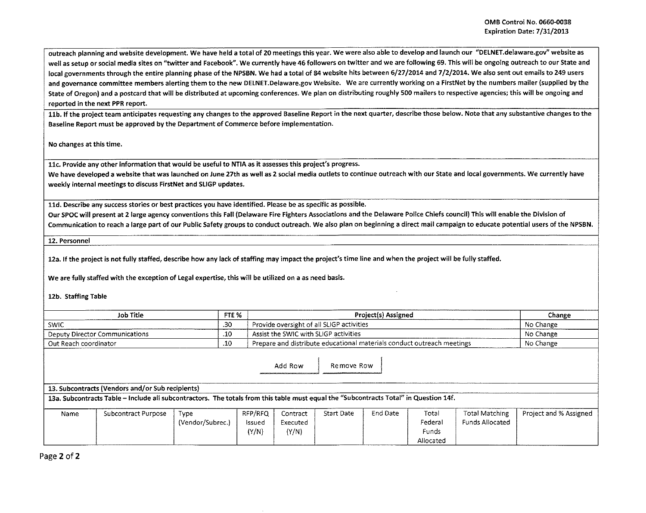outreach planning and website development. We have held a total of 20 meetings this year. We were also able to develop and launch our "DELNET.delaware.gov" website as well as setup or social media sites on "twitter and Facebook". We currently have 46 followers on twitter and we are following 69. This will be ongoing outreach to our State and local governments through the entire planning phase of the NPSBN. We had a total of 84 website hits between 6/27/2014 and 7/2/2014. We also sent out emails to 249 users and governance committee members alerting them to the new DELNET.Delaware.gov Website. We are currently working on a FirstNet by the numbers mailer (supplied by the State of Oregon) and a postcard that will be distributed at upcoming conferences. We plan on distributing roughly 500 mailers to respective agencies; this will be ongoing and reported in the next PPR report.

11b. If the project team anticipates requesting any changes to the approved Baseline Report in the next quarter, describe those below. Note that any substantive changes to the Baseline Report must be approved by the Department of Commerce before implementation.

No changes at this time.

llc. Provide any other information that would be useful to NTIA as it assesses this project's progress.

We have developed a website that was launched on June 27th as well as 2 social media outlets to continue outreach with our State and local governments. We currently have weekly internal meetings to discuss FirstNet and SLIGP updates.

11d. Describe any success stories or best practices you have identified. Please be as specific as possible.

Our SPOC will present at 2 large agency conventions this Fall (Delaware Fire Fighters Associations and the Delaware Police Chiefs council) This will enable the Division of Communication to reach a large part of our Public Safety groups to conduct outreach. We also plan on beginning a direct mail campaign to educate potential users of the NPSBN.

12. Personnel

12a. If the project is not fully staffed, describe how any lack of staffing may impact the project's time line and when the project will be fully staffed.

We are fully staffed with the exception of Legal expertise, this will be utilized on a as need basis.

12b. Staffing Table

| <b>Job Title</b>               | FTE <sub>%</sub> | <b>Project(s) Assigned</b>                                             | Change    |
|--------------------------------|------------------|------------------------------------------------------------------------|-----------|
| <b>SWIC</b>                    | 20<br>` ف        | <sup>1</sup> Provide oversight of all SLIGP activities                 | No Change |
| Deputy Director Communications | $\cdot$ 10       | Assist the SWIC with SLIGP activities                                  | No Change |
| Out Reach coordinator          | .10              | Prepare and distribute educational materials conduct outreach meetings | No Change |

Add Row | Remove Row

13. Subcontracts (Vendors and/or Sub recipients)

13a. Subcontracts Table -Include all subcontractors. The totals from this table must equal the "Subcontracts Total" in Question 14f.

| Name | Subcontract Purpose                    | iype             | RFP/RFO | contract: | Start Date | End Date | Total     | <b>Total Matching</b> | Project and % Assigned |
|------|----------------------------------------|------------------|---------|-----------|------------|----------|-----------|-----------------------|------------------------|
|      |                                        | (Vendor/Subrec.) | issuea  | Executed  |            |          | Federal   | Funds Allocated       |                        |
|      |                                        |                  | Y/N     | (Y/N)     |            |          | Funds     |                       |                        |
|      | A concernance and concernance and con- |                  |         |           |            |          | Allocated |                       |                        |

Page 2 of 2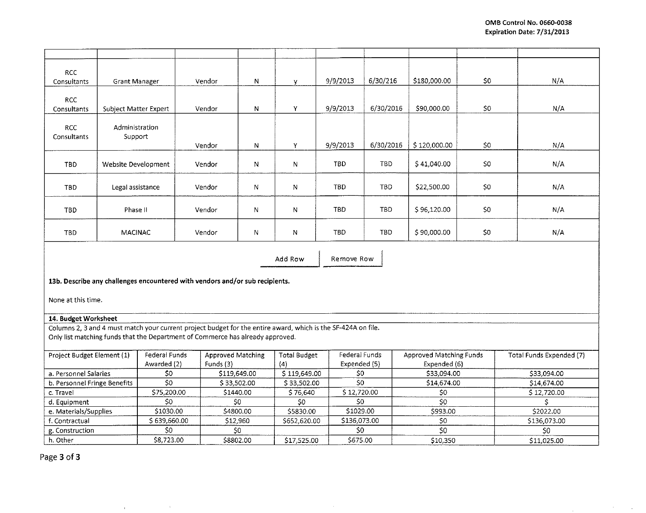$\sim$ 

**All Contract Contract** 

 $\sim 100$ 

| <b>RCC</b>                   |                       |                        |                                                                                                               |              |                     |               |            |                         |      |                          |
|------------------------------|-----------------------|------------------------|---------------------------------------------------------------------------------------------------------------|--------------|---------------------|---------------|------------|-------------------------|------|--------------------------|
| Consultants                  | Grant Manager         |                        | Vendor                                                                                                        | N            | y                   | 9/9/2013      | 6/30/216   | \$180,000.00            | \$0. | N/A                      |
|                              |                       |                        |                                                                                                               |              |                     |               |            |                         |      |                          |
| <b>RCC</b><br>Consultants    |                       |                        | Vendor                                                                                                        | N            | Y                   | 9/9/2013      | 6/30/2016  | \$90,000.00             | \$0  | N/A                      |
|                              | Subject Matter Expert |                        |                                                                                                               |              |                     |               |            |                         |      |                          |
| <b>RCC</b>                   | Administration        |                        |                                                                                                               |              |                     |               |            |                         |      |                          |
| Consultants                  | Support               |                        |                                                                                                               |              |                     |               |            |                         |      |                          |
|                              |                       |                        | Vendor                                                                                                        | N            | Y                   | 9/9/2013      | 6/30/2016  | \$120,000.00            | \$0  | N/A                      |
|                              |                       |                        |                                                                                                               |              |                     |               |            |                         |      |                          |
| <b>TBD</b>                   | Website Development   |                        | Vendor                                                                                                        | N            | N                   | <b>TBD</b>    | TBD        | \$41,040.00             | \$0  | N/A                      |
|                              |                       |                        |                                                                                                               |              |                     |               |            |                         |      |                          |
| <b>TBD</b>                   | Legal assistance      |                        | Vendor                                                                                                        | N            | N                   | <b>TBD</b>    | TBD        | \$22,500.00             | \$0  | N/A                      |
|                              |                       |                        |                                                                                                               |              |                     |               |            |                         |      |                          |
|                              |                       |                        |                                                                                                               |              |                     |               |            |                         |      |                          |
| <b>TBD</b>                   | Phase II              |                        | Vendor                                                                                                        | N            | N                   | <b>TBD</b>    | <b>TBD</b> | \$96,120.00             | \$0  | N/A                      |
|                              |                       |                        |                                                                                                               |              |                     |               |            |                         |      |                          |
| <b>TBD</b>                   | MACINAC               |                        | Vendor                                                                                                        | N            | Ν                   | TBD.          | TBD        | \$90,000.00             | \$0  | N/A                      |
|                              |                       |                        |                                                                                                               |              |                     |               |            |                         |      |                          |
| Remove Row<br>Add Row        |                       |                        |                                                                                                               |              |                     |               |            |                         |      |                          |
|                              |                       |                        |                                                                                                               |              |                     |               |            |                         |      |                          |
|                              |                       |                        |                                                                                                               |              |                     |               |            |                         |      |                          |
|                              |                       |                        | 13b. Describe any challenges encountered with vendors and/or sub recipients.                                  |              |                     |               |            |                         |      |                          |
|                              |                       |                        |                                                                                                               |              |                     |               |            |                         |      |                          |
|                              | None at this time.    |                        |                                                                                                               |              |                     |               |            |                         |      |                          |
| 14. Budget Worksheet         |                       |                        |                                                                                                               |              |                     |               |            |                         |      |                          |
|                              |                       |                        | Columns 2, 3 and 4 must match your current project budget for the entire award, which is the SF-424A on file. |              |                     |               |            |                         |      |                          |
|                              |                       |                        | Only list matching funds that the Department of Commerce has already approved.                                |              |                     |               |            |                         |      |                          |
|                              |                       |                        |                                                                                                               |              |                     |               |            |                         |      |                          |
| Project Budget Element (1)   |                       | Federal Funds          | <b>Approved Matching</b>                                                                                      |              | <b>Total Budget</b> | Federal Funds |            | Approved Matching Funds |      | Total Funds Expended (7) |
|                              |                       | Awarded (2)            | Funds (3)                                                                                                     |              | (4)                 | Expended (5)  |            | Expended (6)            |      |                          |
| a. Personnel Salaries        |                       | \$0                    |                                                                                                               | \$119,649.00 | \$119,649.00        | \$0           |            | \$33,094.00             |      | \$33,094.00              |
| b. Personnel Fringe Benefits |                       | $\overline{\text{SO}}$ | \$33,502.00                                                                                                   |              | \$33,502.00         | \$O           |            | \$14,674.00             |      | \$14,674.00              |
| c. Travel                    |                       | \$75,200.00            |                                                                                                               | \$1440.00    | \$76,640<br>\$0     | \$12,720.00   |            | \$0                     |      | \$12,720.00              |
| d. Equipment                 |                       | \$0                    |                                                                                                               | \$0          |                     | \$0           |            | 50                      |      | Ś                        |
| e. Materials/Supplies        |                       | \$1030.00              | \$4800.00                                                                                                     |              | \$5830.00           | \$1029.00     |            | \$993.00                |      | \$2022.00                |
| f. Contractual               |                       | \$639,660.00           | \$12,960                                                                                                      |              | \$652,620.00        | \$136,073.00  |            | \$0                     |      | \$136,073.00             |
| g. Construction              |                       | \$0                    |                                                                                                               | 50           |                     | \$0           |            | 50                      |      | \$0                      |
| h. Other                     |                       | \$8,723.00             |                                                                                                               | \$8802.00    | \$17,525.00         | \$675.00      |            | \$10,350                |      | \$11,025.00              |

 $\sim$ 

Page 3 of 3

 $\mathcal{L}_{\text{max}}$  and  $\mathcal{L}_{\text{max}}$ 

 $\rightarrow$